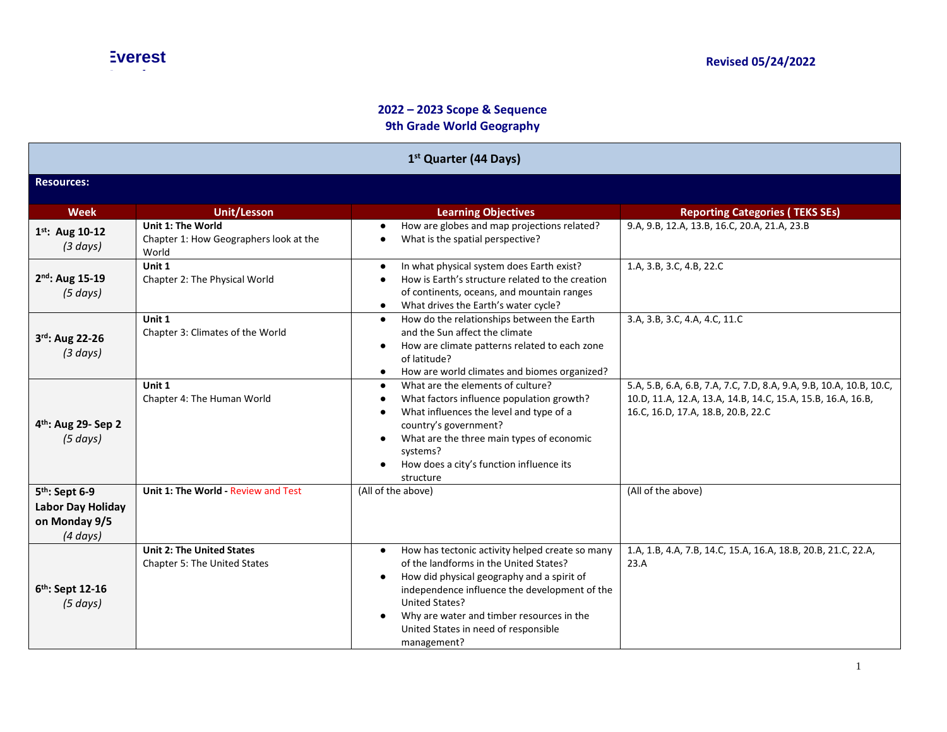## **2022 – 2023 Scope & Sequence 9th Grade World Geography**

| 1 <sup>st</sup> Quarter (44 Days)<br><b>Resources:</b>                                   |                                                                      |                                                                                                                                                                                                                                                                                                                                          |                                                                                                                                                                          |  |
|------------------------------------------------------------------------------------------|----------------------------------------------------------------------|------------------------------------------------------------------------------------------------------------------------------------------------------------------------------------------------------------------------------------------------------------------------------------------------------------------------------------------|--------------------------------------------------------------------------------------------------------------------------------------------------------------------------|--|
|                                                                                          |                                                                      |                                                                                                                                                                                                                                                                                                                                          |                                                                                                                                                                          |  |
| $1^{st}$ : Aug 10-12<br>(3 days)                                                         | Unit 1: The World<br>Chapter 1: How Geographers look at the<br>World | How are globes and map projections related?<br>$\bullet$<br>What is the spatial perspective?<br>$\bullet$                                                                                                                                                                                                                                | 9.A, 9.B, 12.A, 13.B, 16.C, 20.A, 21.A, 23.B                                                                                                                             |  |
| 2 <sup>nd</sup> : Aug 15-19<br>$(5 \, days)$                                             | Unit 1<br>Chapter 2: The Physical World                              | In what physical system does Earth exist?<br>$\bullet$<br>How is Earth's structure related to the creation<br>of continents, oceans, and mountain ranges<br>What drives the Earth's water cycle?<br>$\bullet$                                                                                                                            | 1.A, 3.B, 3.C, 4.B, 22.C                                                                                                                                                 |  |
| 3rd: Aug 22-26<br>(3 days)                                                               | Unit 1<br>Chapter 3: Climates of the World                           | How do the relationships between the Earth<br>$\bullet$<br>and the Sun affect the climate<br>How are climate patterns related to each zone<br>$\bullet$<br>of latitude?<br>How are world climates and biomes organized?                                                                                                                  | 3.A, 3.B, 3.C, 4.A, 4.C, 11.C                                                                                                                                            |  |
| 4 <sup>th</sup> : Aug 29- Sep 2<br>(5 days)                                              | Unit 1<br>Chapter 4: The Human World                                 | What are the elements of culture?<br>$\bullet$<br>What factors influence population growth?<br>$\bullet$<br>What influences the level and type of a<br>country's government?<br>What are the three main types of economic<br>systems?<br>How does a city's function influence its<br>structure                                           | 5.A, 5.B, 6.A, 6.B, 7.A, 7.C, 7.D, 8.A, 9.A, 9.B, 10.A, 10.B, 10.C,<br>10.D, 11.A, 12.A, 13.A, 14.B, 14.C, 15.A, 15.B, 16.A, 16.B,<br>16.C, 16.D, 17.A, 18.B, 20.B, 22.C |  |
| 5 <sup>th</sup> : Sept 6-9<br><b>Labor Day Holiday</b><br>on Monday 9/5<br>$(4 \, days)$ | Unit 1: The World - Review and Test                                  | (All of the above)                                                                                                                                                                                                                                                                                                                       | (All of the above)                                                                                                                                                       |  |
| 6 <sup>th</sup> : Sept 12-16<br>(5 days)                                                 | <b>Unit 2: The United States</b><br>Chapter 5: The United States     | How has tectonic activity helped create so many<br>$\bullet$<br>of the landforms in the United States?<br>How did physical geography and a spirit of<br>$\bullet$<br>independence influence the development of the<br>United States?<br>Why are water and timber resources in the<br>United States in need of responsible<br>management? | 1.A, 1.B, 4.A, 7.B, 14.C, 15.A, 16.A, 18.B, 20.B, 21.C, 22.A,<br>23.A                                                                                                    |  |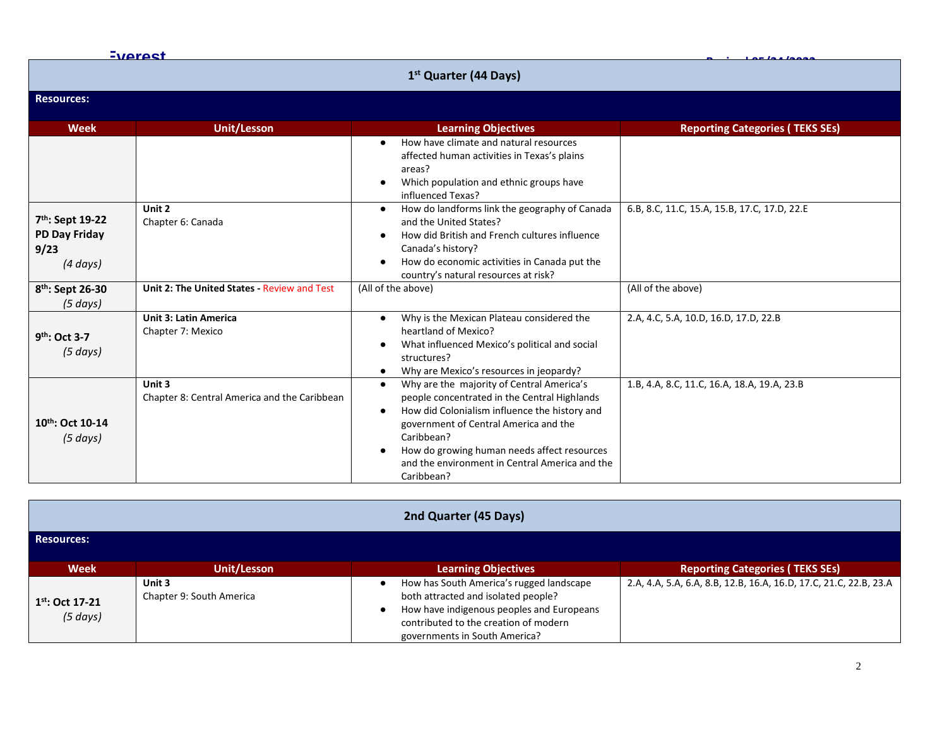|                                                                               | <b>Everest</b>                                         |                                                                                                                                                                                                                                                                                                                                                         |                                              |
|-------------------------------------------------------------------------------|--------------------------------------------------------|---------------------------------------------------------------------------------------------------------------------------------------------------------------------------------------------------------------------------------------------------------------------------------------------------------------------------------------------------------|----------------------------------------------|
|                                                                               |                                                        | 1 <sup>st</sup> Quarter (44 Days)                                                                                                                                                                                                                                                                                                                       |                                              |
| <b>Resources:</b>                                                             |                                                        |                                                                                                                                                                                                                                                                                                                                                         |                                              |
| <b>Week</b>                                                                   | <b>Unit/Lesson</b>                                     | <b>Learning Objectives</b>                                                                                                                                                                                                                                                                                                                              | <b>Reporting Categories (TEKS SEs)</b>       |
|                                                                               |                                                        | How have climate and natural resources<br>$\bullet$<br>affected human activities in Texas's plains<br>areas?<br>Which population and ethnic groups have<br>$\bullet$<br>influenced Texas?                                                                                                                                                               |                                              |
| 7 <sup>th</sup> : Sept 19-22<br><b>PD Day Friday</b><br>9/23<br>$(4 \, days)$ | Unit 2<br>Chapter 6: Canada                            | How do landforms link the geography of Canada<br>and the United States?<br>How did British and French cultures influence<br>$\bullet$<br>Canada's history?<br>How do economic activities in Canada put the<br>country's natural resources at risk?                                                                                                      | 6.B, 8.C, 11.C, 15.A, 15.B, 17.C, 17.D, 22.E |
| 8 <sup>th</sup> : Sept 26-30<br>$(5 \, days)$                                 | Unit 2: The United States - Review and Test            | (All of the above)                                                                                                                                                                                                                                                                                                                                      | (All of the above)                           |
| 9 <sup>th</sup> : Oct 3-7<br>$(5 \, days)$                                    | <b>Unit 3: Latin America</b><br>Chapter 7: Mexico      | Why is the Mexican Plateau considered the<br>$\bullet$<br>heartland of Mexico?<br>What influenced Mexico's political and social<br>$\bullet$<br>structures?<br>Why are Mexico's resources in jeopardy?<br>$\bullet$                                                                                                                                     | 2.A, 4.C, 5.A, 10.D, 16.D, 17.D, 22.B        |
| 10th: Oct 10-14<br>(5 days)                                                   | Unit 3<br>Chapter 8: Central America and the Caribbean | Why are the majority of Central America's<br>$\bullet$<br>people concentrated in the Central Highlands<br>How did Colonialism influence the history and<br>$\bullet$<br>government of Central America and the<br>Caribbean?<br>How do growing human needs affect resources<br>$\bullet$<br>and the environment in Central America and the<br>Caribbean? | 1.B, 4.A, 8.C, 11.C, 16.A, 18.A, 19.A, 23.B  |

| 2nd Quarter (45 Days)                 |                                    |                                                                                                                                                                                                        |                                                                   |  |
|---------------------------------------|------------------------------------|--------------------------------------------------------------------------------------------------------------------------------------------------------------------------------------------------------|-------------------------------------------------------------------|--|
| <b>Resources:</b>                     |                                    |                                                                                                                                                                                                        |                                                                   |  |
| <b>Week</b>                           | <b>Unit/Lesson</b>                 | <b>Learning Objectives</b>                                                                                                                                                                             | <b>Reporting Categories (TEKS SEs)</b>                            |  |
| $1^{st}$ : Oct 17-21<br>$(5 \, days)$ | Unit 3<br>Chapter 9: South America | How has South America's rugged landscape<br>both attracted and isolated people?<br>How have indigenous peoples and Europeans<br>contributed to the creation of modern<br>governments in South America? | 2.A, 4.A, 5.A, 6.A, 8.B, 12.B, 16.A, 16.D, 17.C, 21.C, 22.B, 23.A |  |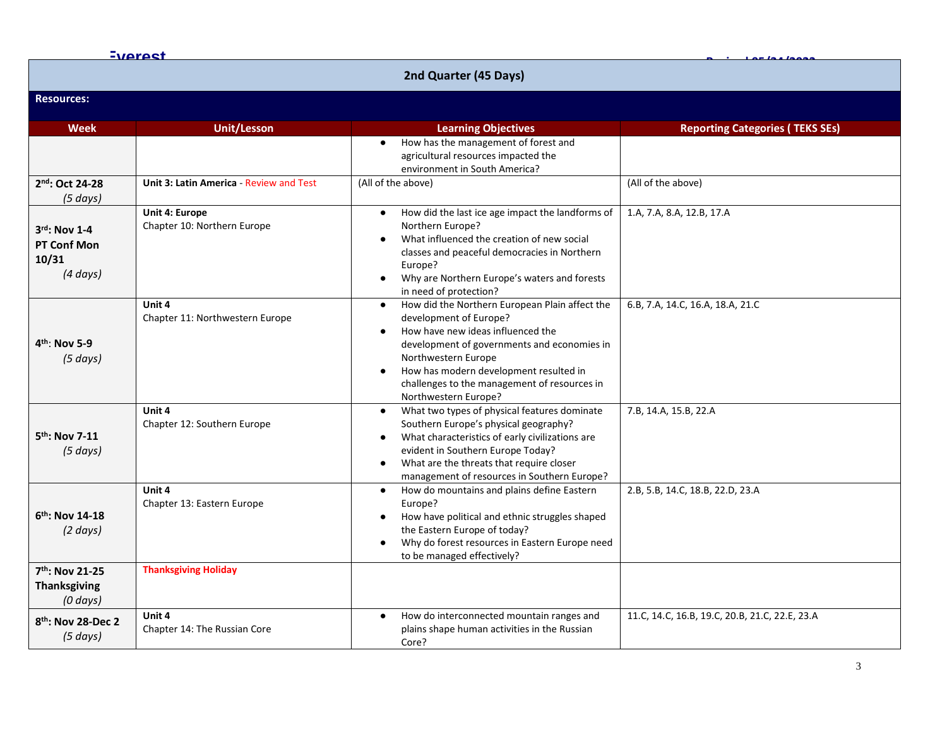|                                                          | <b>Everest</b>                                |                                                                                                                                                                                                                                                                                                                                 |                                                |  |  |  |
|----------------------------------------------------------|-----------------------------------------------|---------------------------------------------------------------------------------------------------------------------------------------------------------------------------------------------------------------------------------------------------------------------------------------------------------------------------------|------------------------------------------------|--|--|--|
|                                                          |                                               | 2nd Quarter (45 Days)                                                                                                                                                                                                                                                                                                           |                                                |  |  |  |
| <b>Resources:</b>                                        |                                               |                                                                                                                                                                                                                                                                                                                                 |                                                |  |  |  |
| <b>Week</b>                                              | <b>Unit/Lesson</b>                            | <b>Learning Objectives</b>                                                                                                                                                                                                                                                                                                      | <b>Reporting Categories (TEKS SEs)</b>         |  |  |  |
|                                                          |                                               | How has the management of forest and<br>$\bullet$<br>agricultural resources impacted the<br>environment in South America?                                                                                                                                                                                                       |                                                |  |  |  |
| 2nd: Oct 24-28<br>(5 days)                               | Unit 3: Latin America - Review and Test       | (All of the above)                                                                                                                                                                                                                                                                                                              | (All of the above)                             |  |  |  |
| $3rd$ : Nov 1-4<br>PT Conf Mon<br>10/31<br>$(4 \, days)$ | Unit 4: Europe<br>Chapter 10: Northern Europe | How did the last ice age impact the landforms of<br>$\bullet$<br>Northern Europe?<br>What influenced the creation of new social<br>classes and peaceful democracies in Northern<br>Europe?<br>Why are Northern Europe's waters and forests<br>in need of protection?                                                            | 1.A, 7.A, 8.A, 12.B, 17.A                      |  |  |  |
| $4th$ : Nov 5-9<br>$(5 \, days)$                         | Unit 4<br>Chapter 11: Northwestern Europe     | How did the Northern European Plain affect the<br>development of Europe?<br>How have new ideas influenced the<br>$\bullet$<br>development of governments and economies in<br>Northwestern Europe<br>How has modern development resulted in<br>$\bullet$<br>challenges to the management of resources in<br>Northwestern Europe? | 6.B, 7.A, 14.C, 16.A, 18.A, 21.C               |  |  |  |
| $5th$ : Nov 7-11<br>$(5 \, days)$                        | Unit 4<br>Chapter 12: Southern Europe         | What two types of physical features dominate<br>$\bullet$<br>Southern Europe's physical geography?<br>What characteristics of early civilizations are<br>$\bullet$<br>evident in Southern Europe Today?<br>What are the threats that require closer<br>$\bullet$<br>management of resources in Southern Europe?                 | 7.B, 14.A, 15.B, 22.A                          |  |  |  |
| $6th$ : Nov 14-18<br>$(2 \text{ days})$                  | Unit 4<br>Chapter 13: Eastern Europe          | How do mountains and plains define Eastern<br>$\bullet$<br>Europe?<br>How have political and ethnic struggles shaped<br>the Eastern Europe of today?<br>Why do forest resources in Eastern Europe need<br>$\bullet$<br>to be managed effectively?                                                                               | 2.B, 5.B, 14.C, 18.B, 22.D, 23.A               |  |  |  |
| 7th: Nov 21-25<br><b>Thanksgiving</b><br>$(0 \, days)$   | <b>Thanksgiving Holiday</b>                   |                                                                                                                                                                                                                                                                                                                                 |                                                |  |  |  |
| 8 <sup>th</sup> : Nov 28-Dec 2<br>(5 days)               | Unit 4<br>Chapter 14: The Russian Core        | How do interconnected mountain ranges and<br>$\bullet$<br>plains shape human activities in the Russian<br>Core?                                                                                                                                                                                                                 | 11.C, 14.C, 16.B, 19.C, 20.B, 21.C, 22.E, 23.A |  |  |  |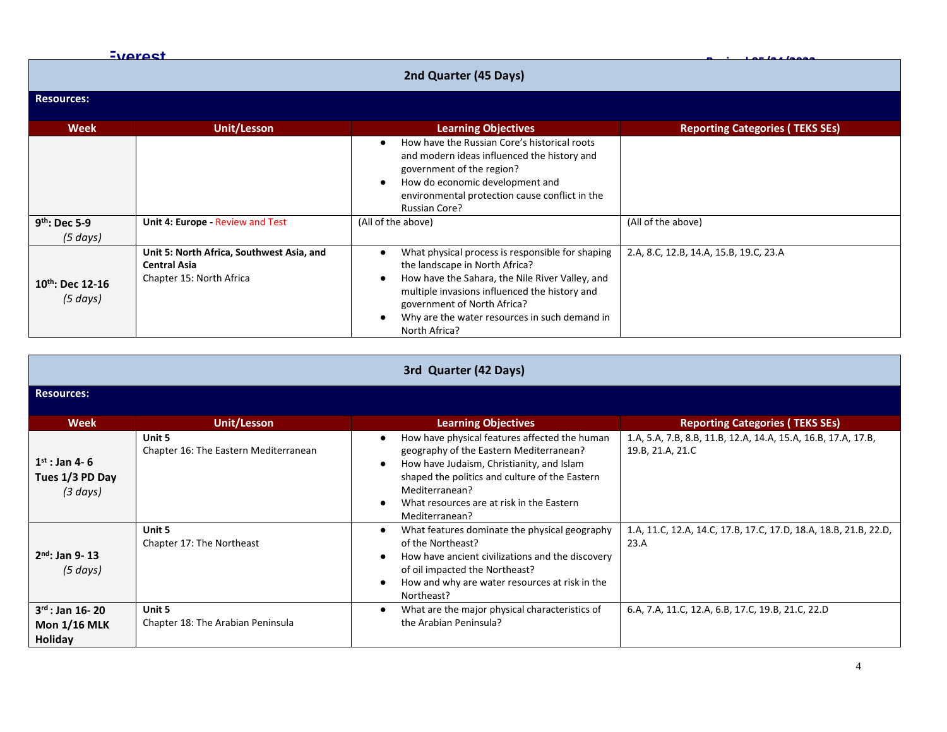|                                   | <b>Everest</b>                                                                               |                                                                                                                                                                                                                                                                                         |                                        |
|-----------------------------------|----------------------------------------------------------------------------------------------|-----------------------------------------------------------------------------------------------------------------------------------------------------------------------------------------------------------------------------------------------------------------------------------------|----------------------------------------|
|                                   |                                                                                              | 2nd Quarter (45 Days)                                                                                                                                                                                                                                                                   |                                        |
| <b>Resources:</b>                 |                                                                                              |                                                                                                                                                                                                                                                                                         |                                        |
| Week                              | Unit/Lesson                                                                                  | <b>Learning Objectives</b>                                                                                                                                                                                                                                                              | <b>Reporting Categories (TEKS SEs)</b> |
|                                   |                                                                                              | How have the Russian Core's historical roots<br>٠<br>and modern ideas influenced the history and<br>government of the region?<br>How do economic development and<br>٠<br>environmental protection cause conflict in the<br><b>Russian Core?</b>                                         |                                        |
| $9th$ : Dec 5-9<br>(5 days)       | Unit 4: Europe - Review and Test                                                             | (All of the above)                                                                                                                                                                                                                                                                      | (All of the above)                     |
| $10^{th}$ : Dec 12-16<br>(5 days) | Unit 5: North Africa, Southwest Asia, and<br><b>Central Asia</b><br>Chapter 15: North Africa | What physical process is responsible for shaping<br>the landscape in North Africa?<br>How have the Sahara, the Nile River Valley, and<br>multiple invasions influenced the history and<br>government of North Africa?<br>Why are the water resources in such demand in<br>North Africa? | 2.A, 8.C, 12.B, 14.A, 15.B, 19.C, 23.A |

| 3rd Quarter (42 Days)                                  |                                                 |                                                                                                                                                                                                                                                                          |                                                                                   |  |
|--------------------------------------------------------|-------------------------------------------------|--------------------------------------------------------------------------------------------------------------------------------------------------------------------------------------------------------------------------------------------------------------------------|-----------------------------------------------------------------------------------|--|
| <b>Resources:</b>                                      |                                                 |                                                                                                                                                                                                                                                                          |                                                                                   |  |
| <b>Week</b>                                            | Unit/Lesson                                     | <b>Learning Objectives</b>                                                                                                                                                                                                                                               | <b>Reporting Categories (TEKS SEs)</b>                                            |  |
| $1^{st}$ : Jan 4-6<br>Tues 1/3 PD Day<br>(3 days)      | Unit 5<br>Chapter 16: The Eastern Mediterranean | How have physical features affected the human<br>geography of the Eastern Mediterranean?<br>How have Judaism, Christianity, and Islam<br>shaped the politics and culture of the Eastern<br>Mediterranean?<br>What resources are at risk in the Eastern<br>Mediterranean? | 1.A, 5.A, 7.B, 8.B, 11.B, 12.A, 14.A, 15.A, 16.B, 17.A, 17.B,<br>19.B, 21.A, 21.C |  |
| $2nd$ : Jan 9-13<br>$(5 \text{ days})$                 | Unit 5<br>Chapter 17: The Northeast             | What features dominate the physical geography<br>$\bullet$<br>of the Northeast?<br>How have ancient civilizations and the discovery<br>of oil impacted the Northeast?<br>How and why are water resources at risk in the<br>Northeast?                                    | 1.A, 11.C, 12.A, 14.C, 17.B, 17.C, 17.D, 18.A, 18.B, 21.B, 22.D,<br>23.A          |  |
| $3^{rd}$ : Jan 16-20<br><b>Mon 1/16 MLK</b><br>Holiday | Unit 5<br>Chapter 18: The Arabian Peninsula     | What are the major physical characteristics of<br>$\bullet$<br>the Arabian Peninsula?                                                                                                                                                                                    | 6.A, 7.A, 11.C, 12.A, 6.B, 17.C, 19.B, 21.C, 22.D                                 |  |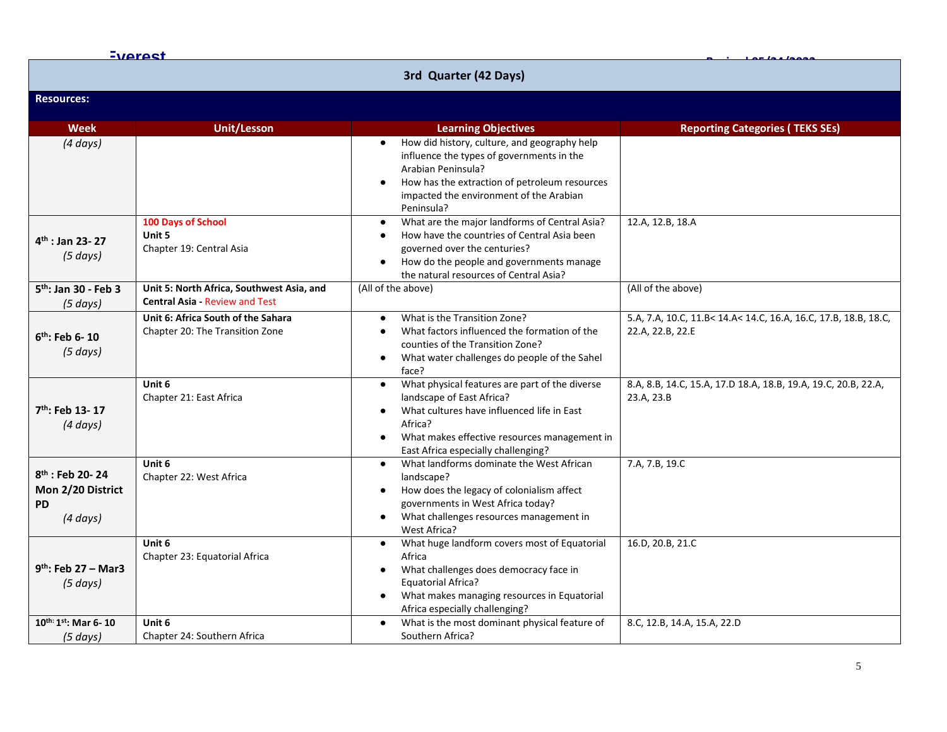| <b>Everest</b>                                                       |                                                                                    |                                                                                                                                                                                                                                                                    |                                                                                     |  |  |
|----------------------------------------------------------------------|------------------------------------------------------------------------------------|--------------------------------------------------------------------------------------------------------------------------------------------------------------------------------------------------------------------------------------------------------------------|-------------------------------------------------------------------------------------|--|--|
| 3rd Quarter (42 Days)                                                |                                                                                    |                                                                                                                                                                                                                                                                    |                                                                                     |  |  |
| <b>Resources:</b>                                                    |                                                                                    |                                                                                                                                                                                                                                                                    |                                                                                     |  |  |
| <b>Week</b>                                                          | <b>Unit/Lesson</b>                                                                 | <b>Learning Objectives</b>                                                                                                                                                                                                                                         | <b>Reporting Categories (TEKS SEs)</b>                                              |  |  |
| $(4 \, days)$                                                        |                                                                                    | How did history, culture, and geography help<br>influence the types of governments in the<br>Arabian Peninsula?<br>How has the extraction of petroleum resources<br>impacted the environment of the Arabian<br>Peninsula?                                          |                                                                                     |  |  |
| $4th$ : Jan 23-27<br>$(5 \, days)$                                   | 100 Days of School<br>Unit 5<br>Chapter 19: Central Asia                           | What are the major landforms of Central Asia?<br>$\bullet$<br>How have the countries of Central Asia been<br>$\bullet$<br>governed over the centuries?<br>How do the people and governments manage<br>$\bullet$<br>the natural resources of Central Asia?          | 12.A, 12.B, 18.A                                                                    |  |  |
| 5 <sup>th</sup> : Jan 30 - Feb 3<br>(5 days)                         | Unit 5: North Africa, Southwest Asia, and<br><b>Central Asia - Review and Test</b> | (All of the above)                                                                                                                                                                                                                                                 | (All of the above)                                                                  |  |  |
| $6th$ : Feb 6-10<br>$(5 \, days)$                                    | Unit 6: Africa South of the Sahara<br>Chapter 20: The Transition Zone              | What is the Transition Zone?<br>$\bullet$<br>What factors influenced the formation of the<br>$\bullet$<br>counties of the Transition Zone?<br>What water challenges do people of the Sahel<br>$\bullet$<br>face?                                                   | 5.A, 7.A, 10.C, 11.B< 14.A< 14.C, 16.A, 16.C, 17.B, 18.B, 18.C,<br>22.A, 22.B, 22.E |  |  |
| $7th$ : Feb 13-17<br>$(4 \, days)$                                   | Unit 6<br>Chapter 21: East Africa                                                  | What physical features are part of the diverse<br>$\bullet$<br>landscape of East Africa?<br>What cultures have influenced life in East<br>$\bullet$<br>Africa?<br>What makes effective resources management in<br>$\bullet$<br>East Africa especially challenging? | 8.A, 8.B, 14.C, 15.A, 17.D 18.A, 18.B, 19.A, 19.C, 20.B, 22.A,<br>23.A, 23.B        |  |  |
| $8th$ : Feb 20-24<br>Mon 2/20 District<br><b>PD</b><br>$(4 \, days)$ | Unit 6<br>Chapter 22: West Africa                                                  | What landforms dominate the West African<br>$\bullet$<br>landscape?<br>How does the legacy of colonialism affect<br>governments in West Africa today?<br>What challenges resources management in<br>West Africa?                                                   | 7.A, 7.B, 19.C                                                                      |  |  |
| $9th$ : Feb 27 – Mar3<br>$(5 \text{ days})$                          | Unit 6<br>Chapter 23: Equatorial Africa                                            | What huge landform covers most of Equatorial<br>$\bullet$<br>Africa<br>What challenges does democracy face in<br>$\bullet$<br><b>Equatorial Africa?</b><br>What makes managing resources in Equatorial<br>Africa especially challenging?                           | 16.D, 20.B, 21.C                                                                    |  |  |
| 10th: 1st: Mar 6-10<br>(5 days)                                      | Unit 6<br>Chapter 24: Southern Africa                                              | What is the most dominant physical feature of<br>Southern Africa?                                                                                                                                                                                                  | 8.C, 12.B, 14.A, 15.A, 22.D                                                         |  |  |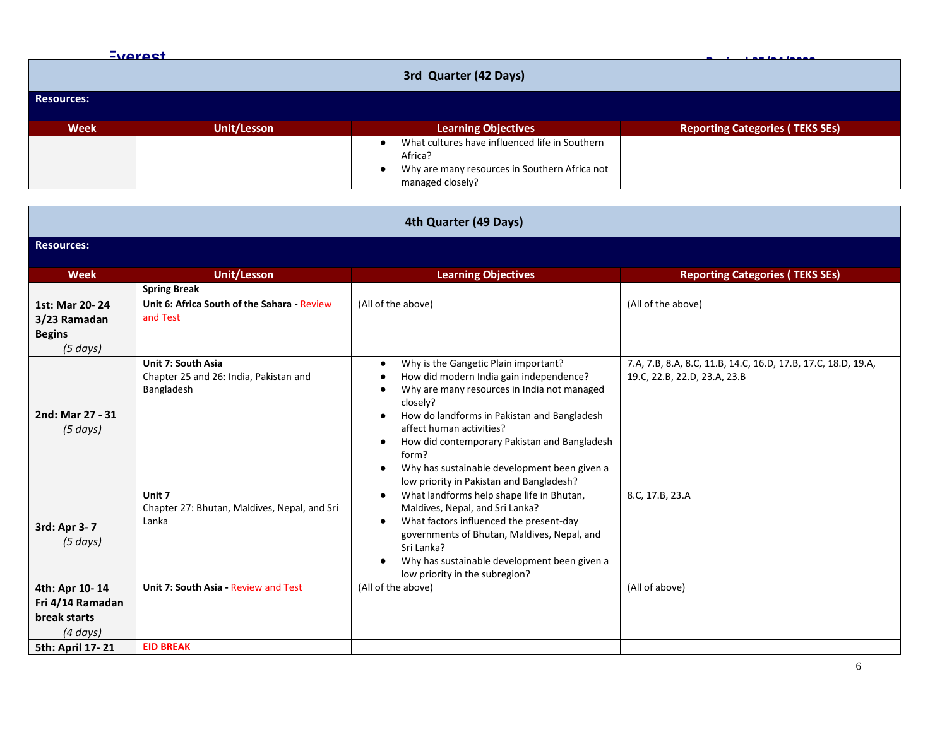|                   | Everest               |                                                | Los los logos                          |  |  |
|-------------------|-----------------------|------------------------------------------------|----------------------------------------|--|--|
|                   | 3rd Quarter (42 Days) |                                                |                                        |  |  |
| <b>Resources:</b> |                       |                                                |                                        |  |  |
|                   |                       |                                                |                                        |  |  |
| <b>Week</b>       | <b>Unit/Lesson</b>    | <b>Learning Objectives</b>                     | <b>Reporting Categories (TEKS SEs)</b> |  |  |
|                   |                       | What cultures have influenced life in Southern |                                        |  |  |
|                   |                       | Africa?                                        |                                        |  |  |
|                   |                       | Why are many resources in Southern Africa not  |                                        |  |  |
|                   |                       | managed closely?                               |                                        |  |  |

| 4th Quarter (49 Days)                                               |                                                                            |                                                                                                                                                                                                                                                                                                                                                                                                                                     |                                                                                               |  |  |
|---------------------------------------------------------------------|----------------------------------------------------------------------------|-------------------------------------------------------------------------------------------------------------------------------------------------------------------------------------------------------------------------------------------------------------------------------------------------------------------------------------------------------------------------------------------------------------------------------------|-----------------------------------------------------------------------------------------------|--|--|
| <b>Resources:</b>                                                   |                                                                            |                                                                                                                                                                                                                                                                                                                                                                                                                                     |                                                                                               |  |  |
| <b>Week</b>                                                         | <b>Unit/Lesson</b>                                                         | <b>Learning Objectives</b>                                                                                                                                                                                                                                                                                                                                                                                                          | <b>Reporting Categories (TEKS SEs)</b>                                                        |  |  |
|                                                                     | <b>Spring Break</b>                                                        |                                                                                                                                                                                                                                                                                                                                                                                                                                     |                                                                                               |  |  |
| 1st: Mar 20-24<br>3/23 Ramadan<br><b>Begins</b><br>$(5 \, days)$    | Unit 6: Africa South of the Sahara - Review<br>and Test                    | (All of the above)                                                                                                                                                                                                                                                                                                                                                                                                                  | (All of the above)                                                                            |  |  |
| 2nd: Mar 27 - 31<br>$(5 \text{ days})$                              | Unit 7: South Asia<br>Chapter 25 and 26: India, Pakistan and<br>Bangladesh | Why is the Gangetic Plain important?<br>$\bullet$<br>How did modern India gain independence?<br>$\bullet$<br>Why are many resources in India not managed<br>closely?<br>How do landforms in Pakistan and Bangladesh<br>٠<br>affect human activities?<br>How did contemporary Pakistan and Bangladesh<br>$\bullet$<br>form?<br>Why has sustainable development been given a<br>$\bullet$<br>low priority in Pakistan and Bangladesh? | 7.A, 7.B, 8.A, 8.C, 11.B, 14.C, 16.D, 17.B, 17.C, 18.D, 19.A,<br>19.C, 22.B, 22.D, 23.A, 23.B |  |  |
| 3rd: Apr 3-7<br>$(5 \text{ days})$                                  | Unit 7<br>Chapter 27: Bhutan, Maldives, Nepal, and Sri<br>Lanka            | What landforms help shape life in Bhutan,<br>$\bullet$<br>Maldives, Nepal, and Sri Lanka?<br>What factors influenced the present-day<br>$\bullet$<br>governments of Bhutan, Maldives, Nepal, and<br>Sri Lanka?<br>Why has sustainable development been given a<br>low priority in the subregion?                                                                                                                                    | 8.C, 17.B, 23.A                                                                               |  |  |
| 4th: Apr 10-14<br>Fri 4/14 Ramadan<br>break starts<br>$(4 \, days)$ | Unit 7: South Asia - Review and Test                                       | (All of the above)                                                                                                                                                                                                                                                                                                                                                                                                                  | (All of above)                                                                                |  |  |
| 5th: April 17-21                                                    | <b>EID BREAK</b>                                                           |                                                                                                                                                                                                                                                                                                                                                                                                                                     |                                                                                               |  |  |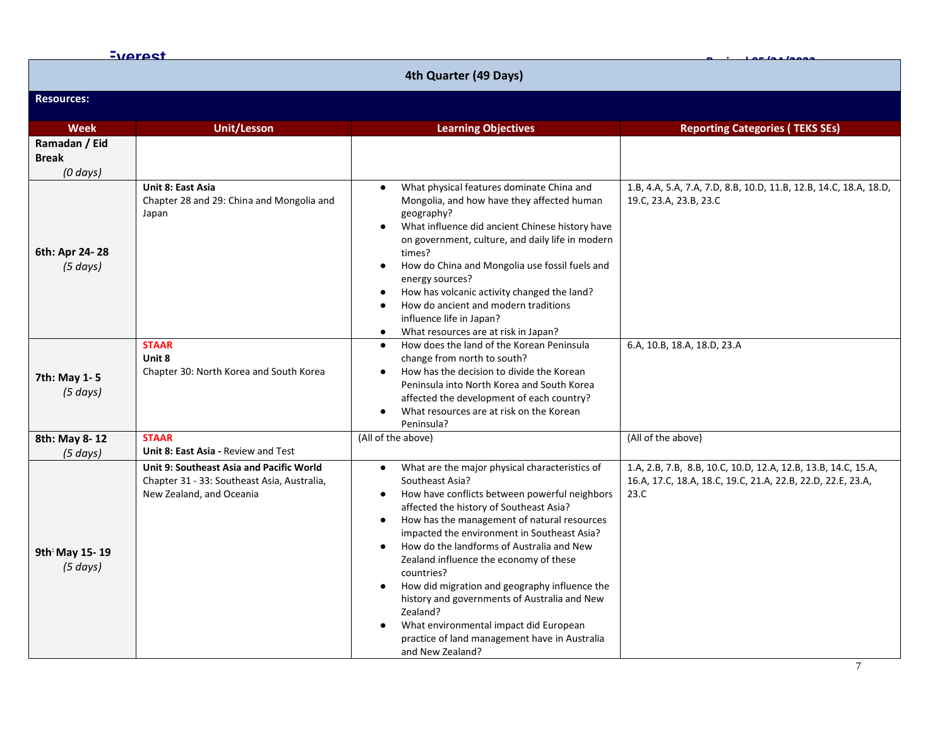|                                             | <b>Everest</b>                                                                                                                                      |                                                                                                                                                                                                                                                                                                                                                                                                                                                                                                                                                                                                                                                                                 |                                                                                                                                      |  |  |
|---------------------------------------------|-----------------------------------------------------------------------------------------------------------------------------------------------------|---------------------------------------------------------------------------------------------------------------------------------------------------------------------------------------------------------------------------------------------------------------------------------------------------------------------------------------------------------------------------------------------------------------------------------------------------------------------------------------------------------------------------------------------------------------------------------------------------------------------------------------------------------------------------------|--------------------------------------------------------------------------------------------------------------------------------------|--|--|
| 4th Quarter (49 Days)                       |                                                                                                                                                     |                                                                                                                                                                                                                                                                                                                                                                                                                                                                                                                                                                                                                                                                                 |                                                                                                                                      |  |  |
| <b>Resources:</b>                           |                                                                                                                                                     |                                                                                                                                                                                                                                                                                                                                                                                                                                                                                                                                                                                                                                                                                 |                                                                                                                                      |  |  |
| <b>Week</b>                                 | <b>Unit/Lesson</b>                                                                                                                                  | <b>Learning Objectives</b>                                                                                                                                                                                                                                                                                                                                                                                                                                                                                                                                                                                                                                                      | <b>Reporting Categories (TEKS SEs)</b>                                                                                               |  |  |
| Ramadan / Eid<br><b>Break</b><br>$(0$ days) |                                                                                                                                                     |                                                                                                                                                                                                                                                                                                                                                                                                                                                                                                                                                                                                                                                                                 |                                                                                                                                      |  |  |
| 6th: Apr 24-28<br>(5 days)                  | <b>Unit 8: East Asia</b><br>Chapter 28 and 29: China and Mongolia and<br>Japan<br><b>STAAR</b><br>Unit 8<br>Chapter 30: North Korea and South Korea | What physical features dominate China and<br>$\bullet$<br>Mongolia, and how have they affected human<br>geography?<br>What influence did ancient Chinese history have<br>$\bullet$<br>on government, culture, and daily life in modern<br>times?<br>How do China and Mongolia use fossil fuels and<br>$\bullet$<br>energy sources?<br>How has volcanic activity changed the land?<br>٠<br>How do ancient and modern traditions<br>$\bullet$<br>influence life in Japan?<br>What resources are at risk in Japan?<br>$\bullet$<br>How does the land of the Korean Peninsula<br>$\bullet$<br>change from north to south?<br>How has the decision to divide the Korean<br>$\bullet$ | 1.B, 4.A, 5.A, 7.A, 7.D, 8.B, 10.D, 11.B, 12.B, 14.C, 18.A, 18.D,<br>19.C, 23.A, 23.B, 23.C<br>6.A, 10.B, 18.A, 18.D, 23.A           |  |  |
| 7th: May 1-5<br>(5 days)                    |                                                                                                                                                     | Peninsula into North Korea and South Korea<br>affected the development of each country?<br>What resources are at risk on the Korean<br>$\bullet$<br>Peninsula?                                                                                                                                                                                                                                                                                                                                                                                                                                                                                                                  |                                                                                                                                      |  |  |
| 8th: May 8-12                               | <b>STAAR</b>                                                                                                                                        | (All of the above)                                                                                                                                                                                                                                                                                                                                                                                                                                                                                                                                                                                                                                                              | (All of the above)                                                                                                                   |  |  |
| (5 days)                                    | Unit 8: East Asia - Review and Test                                                                                                                 |                                                                                                                                                                                                                                                                                                                                                                                                                                                                                                                                                                                                                                                                                 |                                                                                                                                      |  |  |
| 9th May 15-19<br>(5 days)                   | Unit 9: Southeast Asia and Pacific World<br>Chapter 31 - 33: Southeast Asia, Australia,<br>New Zealand, and Oceania                                 | What are the major physical characteristics of<br>$\bullet$<br>Southeast Asia?<br>How have conflicts between powerful neighbors<br>$\bullet$<br>affected the history of Southeast Asia?<br>How has the management of natural resources<br>$\bullet$<br>impacted the environment in Southeast Asia?<br>How do the landforms of Australia and New<br>$\bullet$<br>Zealand influence the economy of these<br>countries?<br>How did migration and geography influence the<br>history and governments of Australia and New<br>Zealand?<br>What environmental impact did European<br>$\bullet$<br>practice of land management have in Australia<br>and New Zealand?                   | 1.A, 2.B, 7.B, 8.B, 10.C, 10.D, 12.A, 12.B, 13.B, 14.C, 15.A,<br>16.A, 17.C, 18.A, 18.C, 19.C, 21.A, 22.B, 22.D, 22.E, 23.A,<br>23.C |  |  |